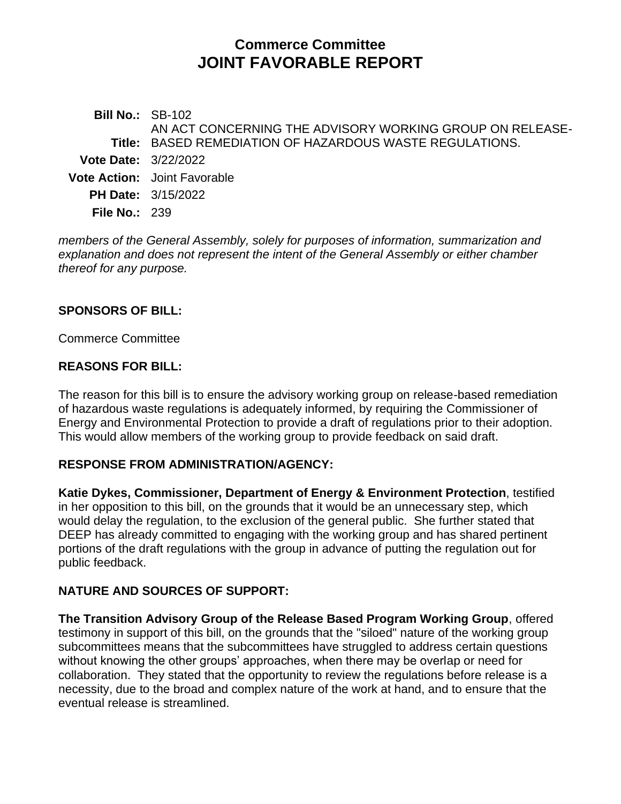# **Commerce Committee JOINT FAVORABLE REPORT**

**Bill No.:** SB-102 **Title:** BASED REMEDIATION OF HAZARDOUS WASTE REGULATIONS. AN ACT CONCERNING THE ADVISORY WORKING GROUP ON RELEASE-**Vote Date:** 3/22/2022 **Vote Action:** Joint Favorable **PH Date:** 3/15/2022 **File No.:** 239

*members of the General Assembly, solely for purposes of information, summarization and explanation and does not represent the intent of the General Assembly or either chamber thereof for any purpose.*

#### **SPONSORS OF BILL:**

Commerce Committee

#### **REASONS FOR BILL:**

The reason for this bill is to ensure the advisory working group on release-based remediation of hazardous waste regulations is adequately informed, by requiring the Commissioner of Energy and Environmental Protection to provide a draft of regulations prior to their adoption. This would allow members of the working group to provide feedback on said draft.

## **RESPONSE FROM ADMINISTRATION/AGENCY:**

**Katie Dykes, Commissioner, Department of Energy & Environment Protection**, testified in her opposition to this bill, on the grounds that it would be an unnecessary step, which would delay the regulation, to the exclusion of the general public. She further stated that DEEP has already committed to engaging with the working group and has shared pertinent portions of the draft regulations with the group in advance of putting the regulation out for public feedback.

## **NATURE AND SOURCES OF SUPPORT:**

**The Transition Advisory Group of the Release Based Program Working Group**, offered testimony in support of this bill, on the grounds that the "siloed" nature of the working group subcommittees means that the subcommittees have struggled to address certain questions without knowing the other groups' approaches, when there may be overlap or need for collaboration. They stated that the opportunity to review the regulations before release is a necessity, due to the broad and complex nature of the work at hand, and to ensure that the eventual release is streamlined.